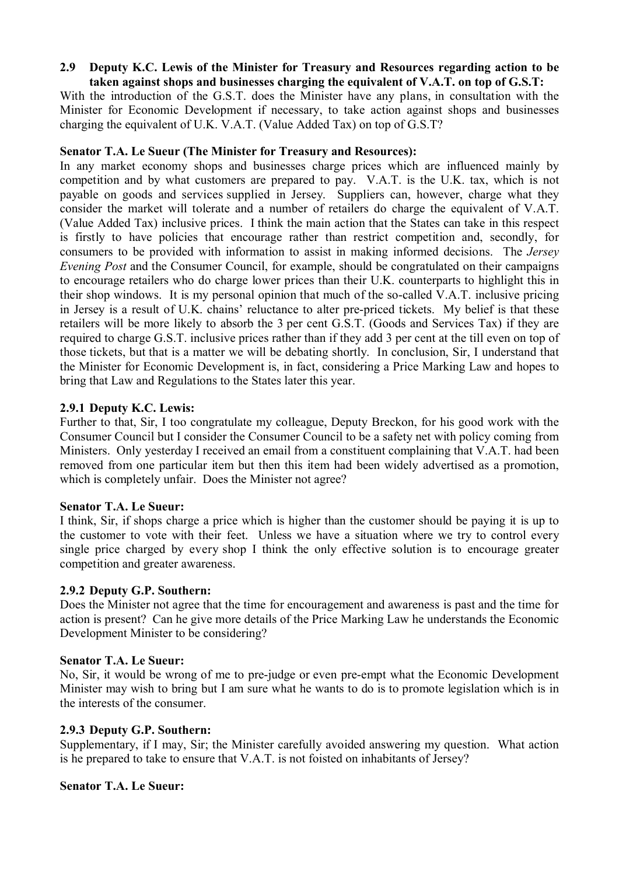#### **2.9** � **Deputy K.C. Lewis of the Minister for Treasury and Resources regarding action to be taken against shops and businesses charging the equivalent of V.A.T. on top of G.S.T:**

With the introduction of the G.S.T. does the Minister have any plans, in consultation with the Minister for Economic Development if necessary, to take action against shops and businesses charging the equivalent of U.K. V.A.T. (Value Added Tax) on top of G.S.T?

## **Senator T.A. Le Sueur (The Minister for Treasury and Resources):**

In any market economy shops and businesses charge prices which are influenced mainly by competition and by what customers are prepared to pay. V.A.T. is the U.K. tax, which is not payable on goods and services supplied in Jersey. Suppliers can, however, charge what they consider the market will tolerate and a number of retailers do charge the equivalent of V.A.T. (Value Added Tax) inclusive prices. I think the main action that the States can take in this respect is firstly to have policies that encourage rather than restrict competition and, secondly, for consumers to be provided with information to assist in making informed decisions. The *Jersey Evening Post* and the Consumer Council, for example, should be congratulated on their campaigns to encourage retailers who do charge lower prices than their U.K. counterparts to highlight this in their shop windows. It is my personal opinion that much of the so-called V.A.T. inclusive pricing in Jersey is a result of U.K. chains' reluctance to alter pre-priced tickets. My belief is that these retailers will be more likely to absorb the 3 per cent G.S.T. (Goods and Services Tax) if they are required to charge G.S.T. inclusive prices rather than if they add 3 per cent at the till even on top of those tickets, but that is a matter we will be debating shortly. In conclusion, Sir, I understand that the Minister for Economic Development is, in fact, considering a Price Marking Law and hopes to bring that Law and Regulations to the States later this year.

## **2.9.1 Deputy K.C. Lewis:**

Further to that, Sir, I too congratulate my colleague, Deputy Breckon, for his good work with the Consumer Council but I consider the Consumer Council to be a safety net with policy coming from Ministers. Only yesterday I received an email from a constituent complaining that V.A.T. had been removed from one particular item but then this item had been widely advertised as a promotion, which is completely unfair. Does the Minister not agree?

#### **Senator T.A. Le Sueur:**

I think, Sir, if shops charge a price which is higher than the customer should be paying it is up to the customer to vote with their feet. Unless we have a situation where we try to control every single price charged by every shop I think the only effective solution is to encourage greater competition and greater awareness.

## **2.9.2 Deputy G.P. Southern:**

Does the Minister not agree that the time for encouragement and awareness is past and the time for action is present? Can he give more details of the Price Marking Law he understands the Economic Development Minister to be considering?

#### **Senator T.A. Le Sueur:**

No, Sir, it would be wrong of me to pre-judge or even pre-empt what the Economic Development Minister may wish to bring but I am sure what he wants to do is to promote legislation which is in the interests of the consumer.

#### **2.9.3 Deputy G.P. Southern:**

Supplementary, if I may, Sir; the Minister carefully avoided answering my question. What action is he prepared to take to ensure that V.A.T. is not foisted on inhabitants of Jersey?

#### **Senator T.A. Le Sueur:**